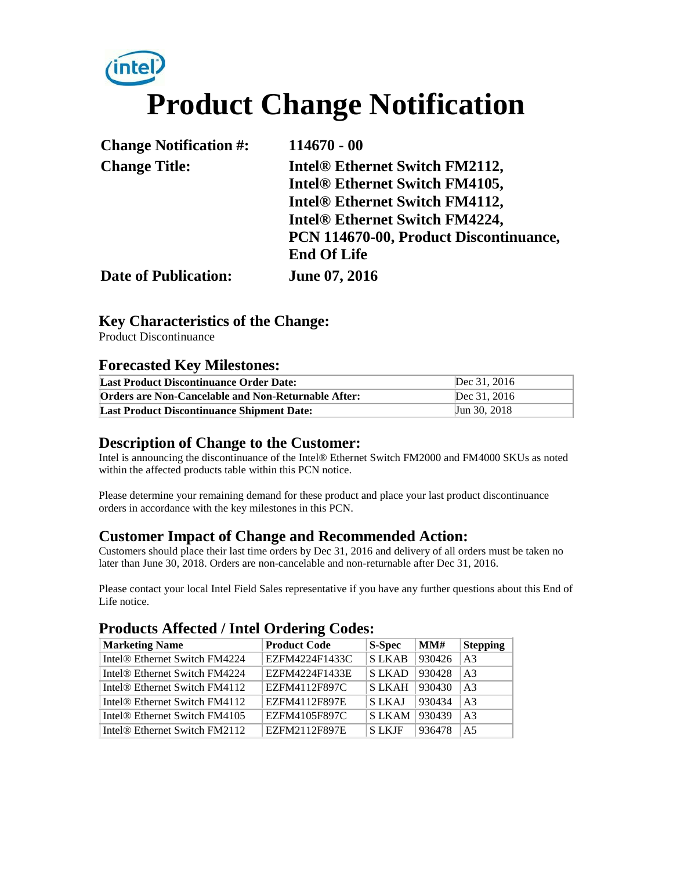# **intel Product Change Notification**

| <b>Change Notification #:</b> | $114670 - 00$                              |
|-------------------------------|--------------------------------------------|
| <b>Change Title:</b>          | Intel <sup>®</sup> Ethernet Switch FM2112, |
|                               | Intel® Ethernet Switch FM4105,             |
|                               | Intel® Ethernet Switch FM4112,             |
|                               | Intel® Ethernet Switch FM4224,             |
|                               | PCN 114670-00, Product Discontinuance,     |
|                               | <b>End Of Life</b>                         |
| <b>Date of Publication:</b>   | June 07, 2016                              |

#### **Key Characteristics of the Change:**

Product Discontinuance

#### **Forecasted Key Milestones:**

| <b>Last Product Discontinuance Order Date:</b>      | Dec 31, 2016 |
|-----------------------------------------------------|--------------|
| Orders are Non-Cancelable and Non-Returnable After: | Dec 31, 2016 |
| <b>Last Product Discontinuance Shipment Date:</b>   | Jun 30, 2018 |

#### **Description of Change to the Customer:**

Intel is announcing the discontinuance of the Intel® Ethernet Switch FM2000 and FM4000 SKUs as noted within the affected products table within this PCN notice.

Please determine your remaining demand for these product and place your last product discontinuance orders in accordance with the key milestones in this PCN.

#### **Customer Impact of Change and Recommended Action:**

Customers should place their last time orders by Dec 31, 2016 and delivery of all orders must be taken no later than June 30, 2018. Orders are non-cancelable and non-returnable after Dec 31, 2016.

Please contact your local Intel Field Sales representative if you have any further questions about this End of Life notice.

#### **Products Affected / Intel Ordering Codes:**

| <b>Marketing Name</b>                     | <b>Product Code</b> | S-Spec       | MM#    | <b>Stepping</b> |
|-------------------------------------------|---------------------|--------------|--------|-----------------|
| Intel <sup>®</sup> Ethernet Switch FM4224 | EZFM4224F1433C      | <b>SLKAB</b> | 930426 | AA              |
| Intel <sup>®</sup> Ethernet Switch FM4224 | EZFM4224F1433E      | <b>SLKAD</b> | 930428 | A <sup>3</sup>  |
| Intel <sup>®</sup> Ethernet Switch FM4112 | EZFM4112F897C       | <b>SLKAH</b> | 930430 | AA              |
| Intel <sup>®</sup> Ethernet Switch FM4112 | EZFM4112F897E       | <b>SLKAI</b> | 930434 | A <sub>3</sub>  |
| Intel <sup>®</sup> Ethernet Switch FM4105 | EZFM4105F897C       | <b>SLKAM</b> | 930439 | A <sup>3</sup>  |
| Intel <sup>®</sup> Ethernet Switch FM2112 | EZFM2112F897E       | <b>SLKIF</b> | 936478 | A <sub>5</sub>  |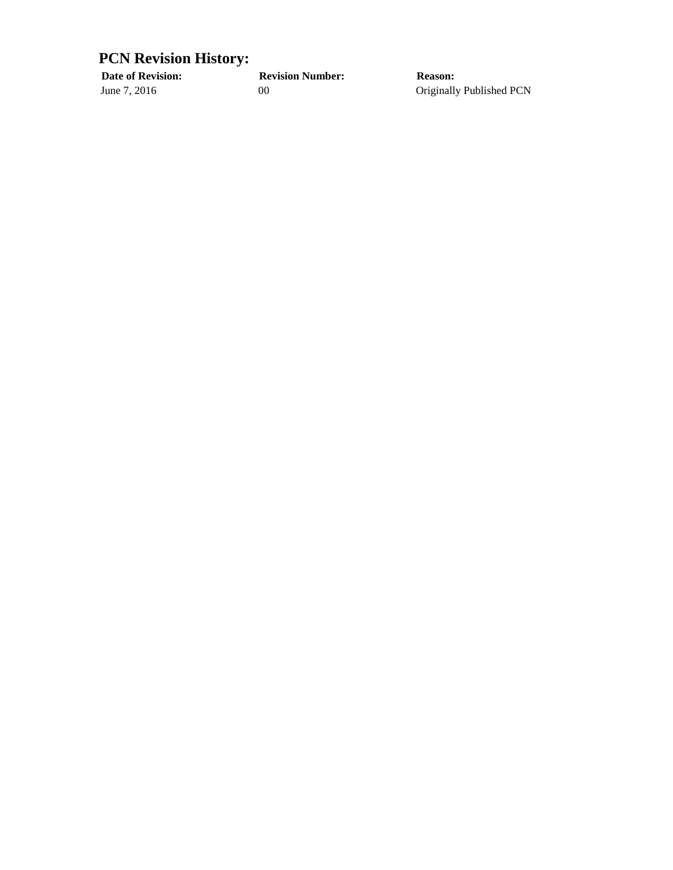### **PCN Revision History:**

**Date of Revision: Revision Number: Reason:**

June 7, 2016 00 00 Originally Published PCN